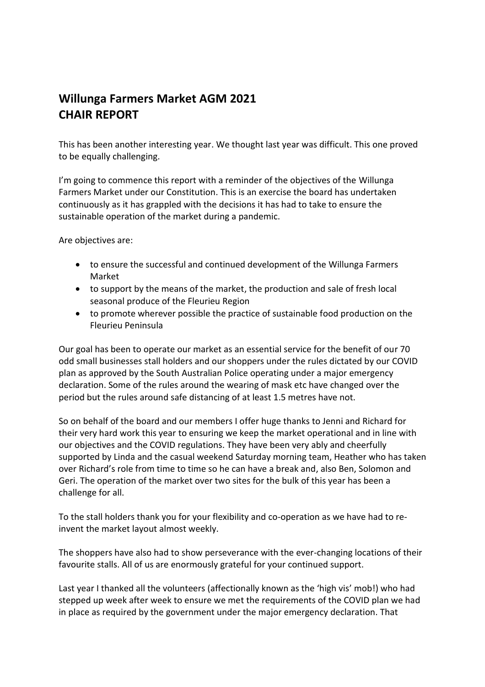## **Willunga Farmers Market AGM 2021 CHAIR REPORT**

This has been another interesting year. We thought last year was difficult. This one proved to be equally challenging.

I'm going to commence this report with a reminder of the objectives of the Willunga Farmers Market under our Constitution. This is an exercise the board has undertaken continuously as it has grappled with the decisions it has had to take to ensure the sustainable operation of the market during a pandemic.

Are objectives are:

- to ensure the successful and continued development of the Willunga Farmers Market
- to support by the means of the market, the production and sale of fresh local seasonal produce of the Fleurieu Region
- to promote wherever possible the practice of sustainable food production on the Fleurieu Peninsula

Our goal has been to operate our market as an essential service for the benefit of our 70 odd small businesses stall holders and our shoppers under the rules dictated by our COVID plan as approved by the South Australian Police operating under a major emergency declaration. Some of the rules around the wearing of mask etc have changed over the period but the rules around safe distancing of at least 1.5 metres have not.

So on behalf of the board and our members I offer huge thanks to Jenni and Richard for their very hard work this year to ensuring we keep the market operational and in line with our objectives and the COVID regulations. They have been very ably and cheerfully supported by Linda and the casual weekend Saturday morning team, Heather who has taken over Richard's role from time to time so he can have a break and, also Ben, Solomon and Geri. The operation of the market over two sites for the bulk of this year has been a challenge for all.

To the stall holders thank you for your flexibility and co-operation as we have had to reinvent the market layout almost weekly.

The shoppers have also had to show perseverance with the ever-changing locations of their favourite stalls. All of us are enormously grateful for your continued support.

Last year I thanked all the volunteers (affectionally known as the 'high vis' mob!) who had stepped up week after week to ensure we met the requirements of the COVID plan we had in place as required by the government under the major emergency declaration. That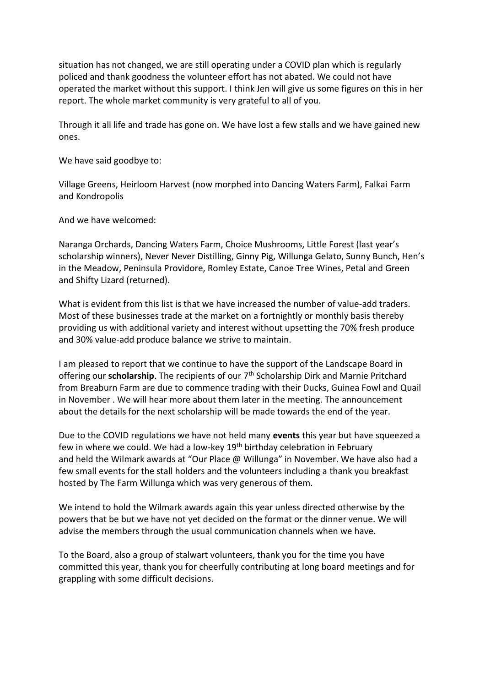situation has not changed, we are still operating under a COVID plan which is regularly policed and thank goodness the volunteer effort has not abated. We could not have operated the market without this support. I think Jen will give us some figures on this in her report. The whole market community is very grateful to all of you.

Through it all life and trade has gone on. We have lost a few stalls and we have gained new ones.

We have said goodbye to:

Village Greens, Heirloom Harvest (now morphed into Dancing Waters Farm), Falkai Farm and Kondropolis

And we have welcomed:

Naranga Orchards, Dancing Waters Farm, Choice Mushrooms, Little Forest (last year's scholarship winners), Never Never Distilling, Ginny Pig, Willunga Gelato, Sunny Bunch, Hen's in the Meadow, Peninsula Providore, Romley Estate, Canoe Tree Wines, Petal and Green and Shifty Lizard (returned).

What is evident from this list is that we have increased the number of value-add traders. Most of these businesses trade at the market on a fortnightly or monthly basis thereby providing us with additional variety and interest without upsetting the 70% fresh produce and 30% value-add produce balance we strive to maintain.

I am pleased to report that we continue to have the support of the Landscape Board in offering our **scholarship**. The recipients of our 7<sup>th</sup> Scholarship Dirk and Marnie Pritchard from Breaburn Farm are due to commence trading with their Ducks, Guinea Fowl and Quail in November . We will hear more about them later in the meeting. The announcement about the details for the next scholarship will be made towards the end of the year.

Due to the COVID regulations we have not held many **events** this year but have squeezed a few in where we could. We had a low-key 19<sup>th</sup> birthday celebration in February and held the Wilmark awards at "Our Place @ Willunga" in November. We have also had a few small events for the stall holders and the volunteers including a thank you breakfast hosted by The Farm Willunga which was very generous of them.

We intend to hold the Wilmark awards again this year unless directed otherwise by the powers that be but we have not yet decided on the format or the dinner venue. We will advise the members through the usual communication channels when we have.

To the Board, also a group of stalwart volunteers, thank you for the time you have committed this year, thank you for cheerfully contributing at long board meetings and for grappling with some difficult decisions.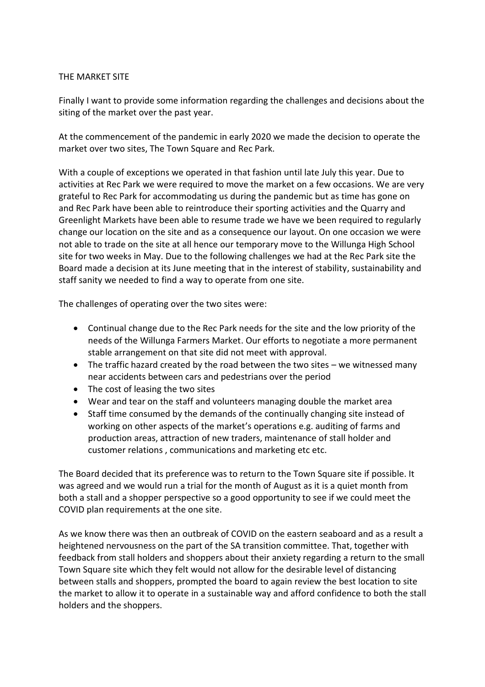## THE MARKET SITE

Finally I want to provide some information regarding the challenges and decisions about the siting of the market over the past year.

At the commencement of the pandemic in early 2020 we made the decision to operate the market over two sites, The Town Square and Rec Park.

With a couple of exceptions we operated in that fashion until late July this year. Due to activities at Rec Park we were required to move the market on a few occasions. We are very grateful to Rec Park for accommodating us during the pandemic but as time has gone on and Rec Park have been able to reintroduce their sporting activities and the Quarry and Greenlight Markets have been able to resume trade we have we been required to regularly change our location on the site and as a consequence our layout. On one occasion we were not able to trade on the site at all hence our temporary move to the Willunga High School site for two weeks in May. Due to the following challenges we had at the Rec Park site the Board made a decision at its June meeting that in the interest of stability, sustainability and staff sanity we needed to find a way to operate from one site.

The challenges of operating over the two sites were:

- Continual change due to the Rec Park needs for the site and the low priority of the needs of the Willunga Farmers Market. Our efforts to negotiate a more permanent stable arrangement on that site did not meet with approval.
- The traffic hazard created by the road between the two sites we witnessed many near accidents between cars and pedestrians over the period
- The cost of leasing the two sites
- Wear and tear on the staff and volunteers managing double the market area
- Staff time consumed by the demands of the continually changing site instead of working on other aspects of the market's operations e.g. auditing of farms and production areas, attraction of new traders, maintenance of stall holder and customer relations , communications and marketing etc etc.

The Board decided that its preference was to return to the Town Square site if possible. It was agreed and we would run a trial for the month of August as it is a quiet month from both a stall and a shopper perspective so a good opportunity to see if we could meet the COVID plan requirements at the one site.

As we know there was then an outbreak of COVID on the eastern seaboard and as a result a heightened nervousness on the part of the SA transition committee. That, together with feedback from stall holders and shoppers about their anxiety regarding a return to the small Town Square site which they felt would not allow for the desirable level of distancing between stalls and shoppers, prompted the board to again review the best location to site the market to allow it to operate in a sustainable way and afford confidence to both the stall holders and the shoppers.